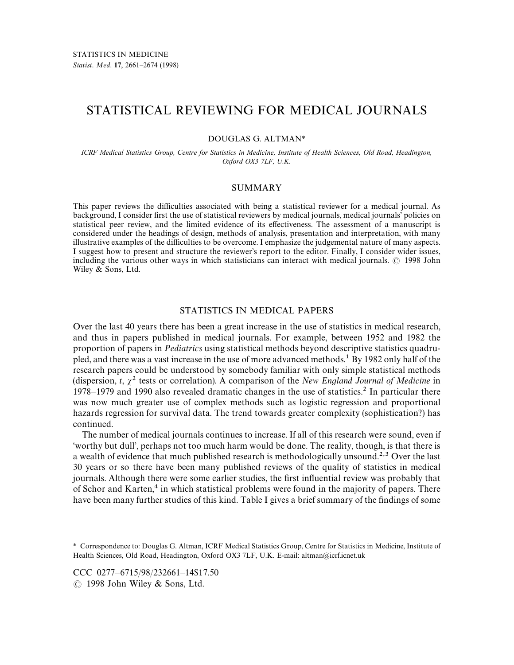# STATISTICAL REVIEWING FOR MEDICAL JOURNALS

### DOUGLAS G. ALTMAN*\**

*ICRF Medical Statistics Group, Centre for Statistics in Medicine, Institute of Health Sciences, Old Road, Headington, Oxford OX3 7LF, U.K.*

## SUMMARY

This paper reviews the difficulties associated with being a statistical reviewer for a medical journal. As background, I consider first the use of statistical reviewers by medical journals, medical journals' policies on statistical peer review, and the limited evidence of its effectiveness. The assessment of a manuscript is considered under the headings of design, methods of analysis, presentation and interpretation, with many illustrative examples of the difficulties to be overcome. I emphasize the judgemental nature of many aspects. I suggest how to present and structure the reviewer's report to the editor. Finally, I consider wider issues, including the various other ways in which statisticians can interact with medical journals.  $\odot$  1998 John Wiley & Sons, Ltd.

## STATISTICS IN MEDICAL PAPERS

Over the last 40 years there has been a great increase in the use of statistics in medical research, and thus in papers published in medical journals. For example, between 1952 and 1982 the proportion of papers in *Pediatrics* using statistical methods beyond descriptive statistics quadrupled, and there was a vast increase in the use of more advanced methods.1 By 1982 only half of the research papers could be understood by somebody familiar with only simple statistical methods (dispersion,  $t$ ,  $\chi^2$  tests or correlation). A comparison of the *New England Journal of Medicine* in 1978*—*1979 and 1990 also revealed dramatic changes in the use of statistics.2 In particular there was now much greater use of complex methods such as logistic regression and proportional hazards regression for survival data. The trend towards greater complexity (sophistication?) has continued.

The number of medical journals continues to increase. If all of this research were sound, even if 'worthy but dull', perhaps not too much harm would be done. The reality, though, is that there is a wealth of evidence that much published research is methodologically unsound.<sup>2,3</sup> Over the last 30 years or so there have been many published reviews of the quality of statistics in medical journals. Although there were some earlier studies, the first influential review was probably that of Schor and Karten,<sup>4</sup> in which statistical problems were found in the majority of papers. There have been many further studies of this kind. Table I gives a brief summary of the findings of some

CCC 0277*—*6715/98/232661*—*14\$17.50  $\circ$  1998 John Wiley & Sons, Ltd.

*<sup>\*</sup>* Correspondence to: Douglas G. Altman, ICRF Medical Statistics Group, Centre for Statistics in Medicine, Institute of Health Sciences, Old Road, Headington, Oxford OX3 7LF, U.K. E-mail: altman@icrf.icnet.uk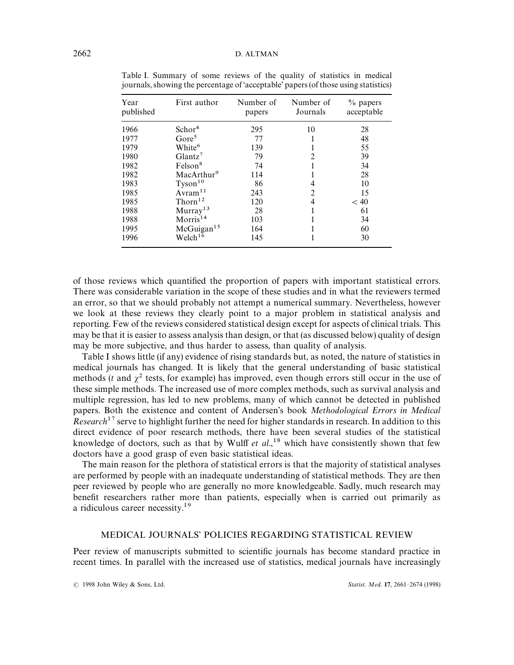| Year<br>published | First author           | Number of<br>papers | Number of<br>Journals | $\%$ papers<br>acceptable |
|-------------------|------------------------|---------------------|-----------------------|---------------------------|
| 1966              | Schor <sup>4</sup>     | 295                 | 10                    | 28                        |
| 1977              | Gore <sup>5</sup>      | 77                  |                       | 48                        |
| 1979              | White <sup>6</sup>     | 139                 |                       | 55                        |
| 1980              | $G$ lantz <sup>7</sup> | 79                  | 2                     | 39                        |
| 1982              | Felson <sup>8</sup>    | 74                  |                       | 34                        |
| 1982              | MacArthur <sup>9</sup> | 114                 |                       | 28                        |
| 1983              | Tyson <sup>10</sup>    | 86                  |                       | 10                        |
| 1985              | Avram <sup>11</sup>    | 243                 | $\mathfrak{D}$        | 15                        |
| 1985              | Thorn <sup>12</sup>    | 120                 | 4                     | < 40                      |
| 1988              | Murray <sup>13</sup>   | 28                  |                       | 61                        |
| 1988              | Morris <sup>14</sup>   | 103                 |                       | 34                        |
| 1995              | McGuigan <sup>15</sup> | 164                 |                       | 60                        |
| 1996              | Welch <sup>16</sup>    | 145                 |                       | 30                        |

Table I. Summary of some reviews of the quality of statistics in medical journals, showing the percentage of 'acceptable' papers (of those using statistics)

of those reviews which quantified the proportion of papers with important statistical errors. There was considerable variation in the scope of these studies and in what the reviewers termed an error, so that we should probably not attempt a numerical summary. Nevertheless, however we look at these reviews they clearly point to a major problem in statistical analysis and reporting. Few of the reviews considered statistical design except for aspects of clinical trials. This may be that it is easier to assess analysis than design, or that (as discussed below) quality of design may be more subjective, and thus harder to assess, than quality of analysis.

Table I shows little (if any) evidence of rising standards but, as noted, the nature of statistics in medical journals has changed. It is likely that the general understanding of basic statistical methods (*t* and  $\chi^2$  tests, for example) has improved, even though errors still occur in the use of these simple methods. The increased use of more complex methods, such as survival analysis and multiple regression, has led to new problems, many of which cannot be detected in published papers. Both the existence and content of Andersen's book *Methodological Errors in Medical Research*17 serve to highlight further the need for higher standards in research. In addition to this direct evidence of poor research methods, there have been several studies of the statistical knowledge of doctors, such as that by Wulff *et al.*,<sup>18</sup> which have consistently shown that few doctors have a good grasp of even basic statistical ideas.

The main reason for the plethora of statistical errors is that the majority of statistical analyses are performed by people with an inadequate understanding of statistical methods. They are then peer reviewed by people who are generally no more knowledgeable. Sadly, much research may benefit researchers rather more than patients, especially when is carried out primarily as a ridiculous career necessity.19

## MEDICAL JOURNALS' POLICIES REGARDING STATISTICAL REVIEW

Peer review of manuscripts submitted to scientific journals has become standard practice in recent times. In parallel with the increased use of statistics, medical journals have increasingly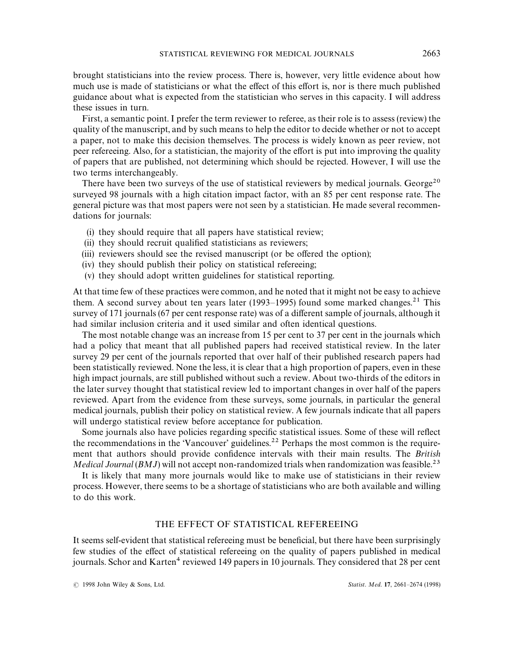brought statisticians into the review process. There is, however, very little evidence about how much use is made of statisticians or what the effect of this effort is, nor is there much published guidance about what is expected from the statistician who serves in this capacity. I will address these issues in turn.

First, a semantic point. I prefer the term reviewer to referee, as their role is to assess (review) the quality of the manuscript, and by such means to help the editor to decide whether or not to accept a paper, not to make this decision themselves. The process is widely known as peer review, not peer refereeing. Also, for a statistician, the majority of the effort is put into improving the quality of papers that are published, not determining which should be rejected. However, I will use the two terms interchangeably.

There have been two surveys of the use of statistical reviewers by medical journals. George<sup>20</sup> surveyed 98 journals with a high citation impact factor, with an 85 per cent response rate. The general picture was that most papers were not seen by a statistician. He made several recommendations for journals:

- (i) they should require that all papers have statistical review;
- (ii) they should recruit qualified statisticians as reviewers;
- (iii) reviewers should see the revised manuscript (or be offered the option);
- (iv) they should publish their policy on statistical refereeing;
- (v) they should adopt written guidelines for statistical reporting.

At that time few of these practices were common, and he noted that it might not be easy to achieve them. A second survey about ten years later (1993–1995) found some marked changes.<sup>21</sup> This survey of 171 journals (67 per cent response rate) was of a different sample of journals, although it had similar inclusion criteria and it used similar and often identical questions.

The most notable change was an increase from 15 per cent to 37 per cent in the journals which had a policy that meant that all published papers had received statistical review. In the later survey 29 per cent of the journals reported that over half of their published research papers had been statistically reviewed. None the less, it is clear that a high proportion of papers, even in these high impact journals, are still published without such a review. About two-thirds of the editors in the later survey thought that statistical review led to important changes in over half of the papers reviewed. Apart from the evidence from these surveys, some journals, in particular the general medical journals, publish their policy on statistical review. A few journals indicate that all papers will undergo statistical review before acceptance for publication.

Some journals also have policies regarding specific statistical issues. Some of these will reflect the recommendations in the 'Vancouver' guidelines.<sup>22</sup> Perhaps the most common is the requirement that authors should provide confidence intervals with their main results. The *British Medical Journal* (*BMJ*) will not accept non-randomized trials when randomization was feasible.<sup>23</sup>

It is likely that many more journals would like to make use of statisticians in their review process. However, there seems to be a shortage of statisticians who are both available and willing to do this work.

## THE EFFECT OF STATISTICAL REFEREEING

It seems self-evident that statistical refereeing must be beneficial, but there have been surprisingly few studies of the effect of statistical refereeing on the quality of papers published in medical journals. Schor and Karten<sup>4</sup> reviewed 149 papers in 10 journals. They considered that 28 per cent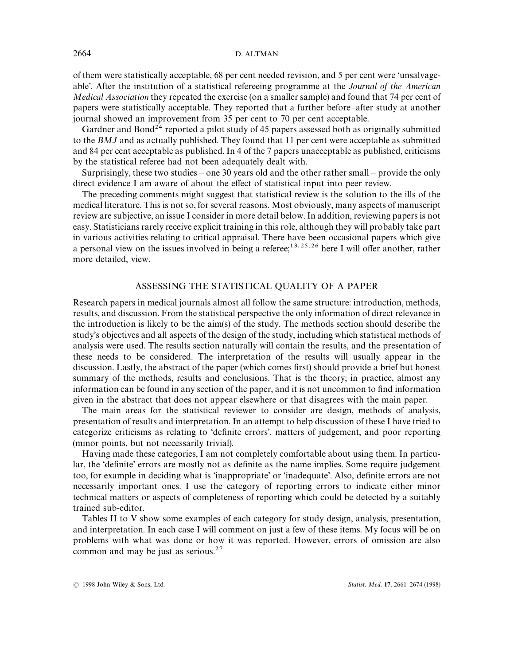## 2664 D. ALTMAN

of them were statistically acceptable, 68 per cent needed revision, and 5 per cent were 'unsalvageable'. After the institution of a statistical refereeing programme at the *Journal of the American Medical Association* they repeated the exercise (on a smaller sample) and found that 74 per cent of papers were statistically acceptable. They reported that a further before*—*after study at another journal showed an improvement from 35 per cent to 70 per cent acceptable.

Gardner and Bond<sup>24</sup> reported a pilot study of 45 papers assessed both as originally submitted to the *BMJ* and as actually published. They found that 11 per cent were acceptable as submitted and 84 per cent acceptable as published. In 4 of the 7 papers unacceptable as published, criticisms by the statistical referee had not been adequately dealt with.

Surprisingly, these two studies *—* one 30 years old and the other rather small *—* provide the only direct evidence I am aware of about the effect of statistical input into peer review.

The preceding comments might suggest that statistical review is the solution to the ills of the medical literature. This is not so, for several reasons. Most obviously, many aspects of manuscript review are subjective, an issue I consider in more detail below. In addition, reviewing papers is not easy. Statisticians rarely receive explicit training in this role, although they will probably take part in various activities relating to critical appraisal. There have been occasional papers which give a personal view on the issues involved in being a referee;<sup>13,25,26</sup> here I will offer another, rather more detailed, view.

## ASSESSING THE STATISTICAL QUALITY OF A PAPER

Research papers in medical journals almost all follow the same structure: introduction, methods, results, and discussion. From the statistical perspective the only information of direct relevance in the introduction is likely to be the aim(s) of the study. The methods section should describe the study's objectives and all aspects of the design of the study, including which statistical methods of analysis were used. The results section naturally will contain the results, and the presentation of these needs to be considered. The interpretation of the results will usually appear in the discussion. Lastly, the abstract of the paper (which comes first) should provide a brief but honest summary of the methods, results and conclusions. That is the theory; in practice, almost any information can be found in any section of the paper, and it is not uncommon to find information given in the abstract that does not appear elsewhere or that disagrees with the main paper.

The main areas for the statistical reviewer to consider are design, methods of analysis, presentation of results and interpretation. In an attempt to help discussion of these I have tried to categorize criticisms as relating to 'definite errors', matters of judgement, and poor reporting (minor points, but not necessarily trivial).

Having made these categories, I am not completely comfortable about using them. In particular, the 'definite' errors are mostly not as definite as the name implies. Some require judgement too, for example in deciding what is 'inappropriate' or 'inadequate'. Also, definite errors are not necessarily important ones. I use the category of reporting errors to indicate either minor technical matters or aspects of completeness of reporting which could be detected by a suitably trained sub-editor.

Tables II to V show some examples of each category for study design, analysis, presentation, and interpretation. In each case I will comment on just a few of these items. My focus will be on problems with what was done or how it was reported. However, errors of omission are also common and may be just as serious.<sup>27</sup>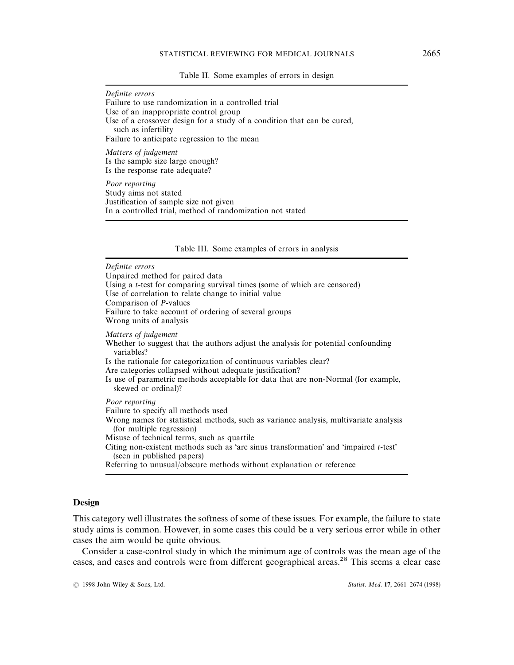## STATISTICAL REVIEWING FOR MEDICAL JOURNALS 2665

Table II. Some examples of errors in design

*Definite errors* Failure to use randomization in a controlled trial Use of an inappropriate control group Use of a crossover design for a study of a condition that can be cured, such as infertility Failure to anticipate regression to the mean *Matters of judgement* Is the sample size large enough? Is the response rate adequate? *Poor reporting*

Study aims not stated Justification of sample size not given In a controlled trial, method of randomization not stated

Table III. Some examples of errors in analysis

*Definite errors* Unpaired method for paired data Using a *t*-test for comparing survival times (some of which are censored) Use of correlation to relate change to initial value Comparison of *P*-values Failure to take account of ordering of several groups Wrong units of analysis *Matters of judgement* Whether to suggest that the authors adjust the analysis for potential confounding variables? Is the rationale for categorization of continuous variables clear? Are categories collapsed without adequate justification? Is use of parametric methods acceptable for data that are non-Normal (for example, skewed or ordinal)? *Poor reporting* Failure to specify all methods used Wrong names for statistical methods, such as variance analysis, multivariate analysis (for multiple regression) Misuse of technical terms, such as quartile Citing non-existent methods such as 'arc sinus transformation' and 'impaired *t*-test' (seen in published papers) Referring to unusual/obscure methods without explanation or reference

## Design

This category well illustrates the softness of some of these issues. For example, the failure to state study aims is common. However, in some cases this could be a very serious error while in other cases the aim would be quite obvious.

Consider a case-control study in which the minimum age of controls was the mean age of the cases, and cases and controls were from different geographical areas.<sup>28</sup> This seems a clear case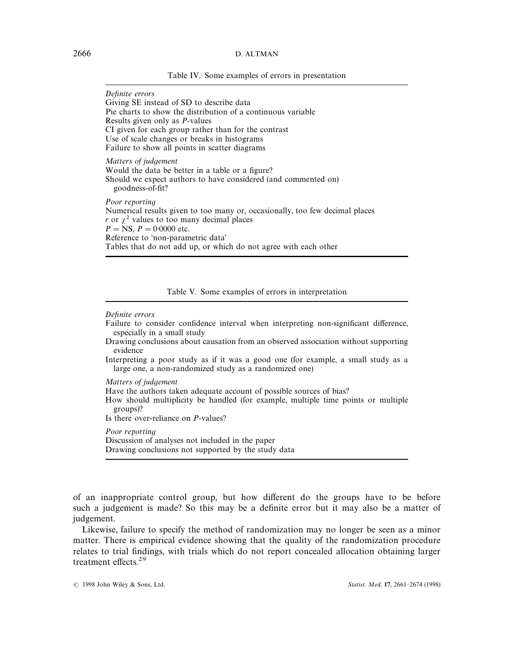### 2666 D. ALTMAN

*Definite errors* Giving SE instead of SD to describe data Pie charts to show the distribution of a continuous variable Results given only as *P*-values CI given for each group rather than for the contrast Use of scale changes or breaks in histograms Failure to show all points in scatter diagrams

*Matters of judgement* Would the data be better in a table or a figure? Should we expect authors to have considered (and commented on) goodness-of-fit? *Poor reporting*

Numerical results given to too many or, occasionally, too few decimal places *r* or  $\gamma^2$  values to too many decimal places  $P = NS$ ,  $P = 0.0000$  etc. Reference to 'non-parametric data' Tables that do not add up, or which do not agree with each other

Table V. Some examples of errors in interpretation

#### *Definite errors*

Failure to consider confidence interval when interpreting non-significant difference, especially in a small study

Drawing conclusions about causation from an observed association without supporting evidence

Interpreting a poor study as if it was a good one (for example, a small study as a large one, a non-randomized study as a randomized one)

*Matters of judgement*

Have the authors taken adequate account of possible sources of bias?

How should multiplicity be handled (for example, multiple time points or multiple groups)?

Is there over-reliance on *P*-values?

*Poor reporting*

Discussion of analyses not included in the paper Drawing conclusions not supported by the study data

of an inappropriate control group, but how different do the groups have to be before such a judgement is made? So this may be a definite error but it may also be a matter of judgement.

Likewise, failure to specify the method of randomization may no longer be seen as a minor matter. There is empirical evidence showing that the quality of the randomization procedure relates to trial findings, with trials which do not report concealed allocation obtaining larger treatment effects.29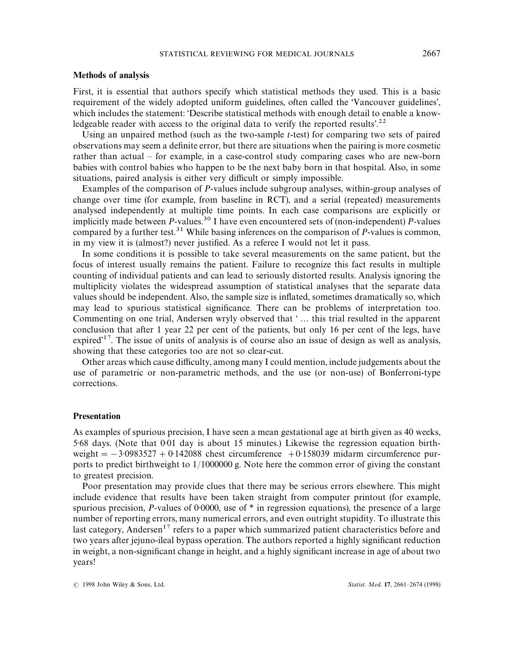### Methods of analysis

First, it is essential that authors specify which statistical methods they used. This is a basic requirement of the widely adopted uniform guidelines, often called the 'Vancouver guidelines', which includes the statement: 'Describe statistical methods with enough detail to enable a knowledgeable reader with access to the original data to verify the reported results'.<sup>22</sup>

Using an unpaired method (such as the two-sample *t*-test) for comparing two sets of paired observations may seem a definite error, but there are situations when the pairing is more cosmetic rather than actual *—* for example, in a case-control study comparing cases who are new-born babies with control babies who happen to be the next baby born in that hospital. Also, in some situations, paired analysis is either very difficult or simply impossible.

Examples of the comparison of *P*-values include subgroup analyses, within-group analyses of change over time (for example, from baseline in RCT), and a serial (repeated) measurements analysed independently at multiple time points. In each case comparisons are explicitly or implicitly made between *P*-values.30 I have even encountered sets of (non-independent) *P*-values compared by a further test.31 While basing inferences on the comparison of *P*-values is common, in my view it is (almost?) never justified. As a referee I would not let it pass.

In some conditions it is possible to take several measurements on the same patient, but the focus of interest usually remains the patient. Failure to recognize this fact results in multiple counting of individual patients and can lead to seriously distorted results. Analysis ignoring the multiplicity violates the widespread assumption of statistical analyses that the separate data values should be independent. Also, the sample size is inflated, sometimes dramatically so, which may lead to spurious statistical significance. There can be problems of interpretation too. Commenting on one trial, Andersen wryly observed that '... this trial resulted in the apparent conclusion that after 1 year 22 per cent of the patients, but only 16 per cent of the legs, have expired<sup> $17$ </sup>. The issue of units of analysis is of course also an issue of design as well as analysis, showing that these categories too are not so clear-cut.

Other areas which cause difficulty, among many I could mention, include judgements about the use of parametric or non-parametric methods, and the use (or non-use) of Bonferroni-type corrections.

#### Presentation

As examples of spurious precision, I have seen a mean gestational age at birth given as 40 weeks, 5)68 days. (Note that 0)01 day is about 15 minutes.) Likewise the regression equation birthweight  $=$   $-3.0983527 + 0.142088$  chest circumference  $+0.158039$  midarm circumference purports to predict birthweight to  $1/1000000$  g. Note here the common error of giving the constant to greatest precision.

Poor presentation may provide clues that there may be serious errors elsewhere. This might include evidence that results have been taken straight from computer printout (for example, spurious precision, *P*-values of 0.0000, use of  $*$  in regression equations), the presence of a large number of reporting errors, many numerical errors, and even outright stupidity. To illustrate this last category, Andersen<sup>17</sup> refers to a paper which summarized patient characteristics before and two years after jejuno-ileal bypass operation. The authors reported a highly significant reduction in weight, a non-significant change in height, and a highly significant increase in age of about two years!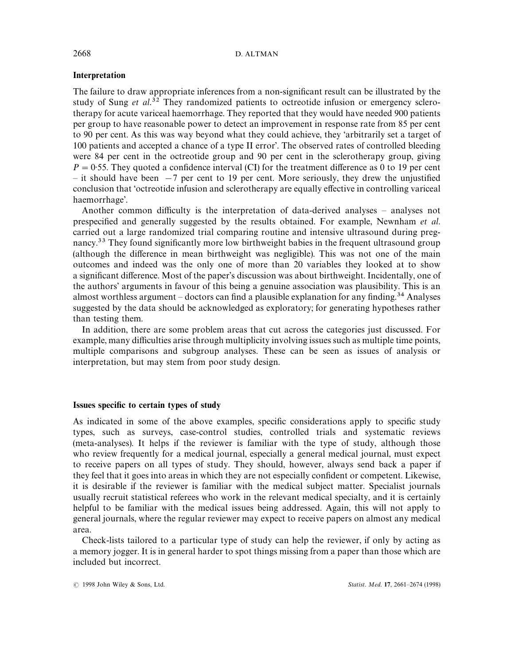## Interpretation

The failure to draw appropriate inferences from a non-significant result can be illustrated by the study of Sung *et al.*<sup>32</sup> They randomized patients to octreotide infusion or emergency sclerotherapy for acute variceal haemorrhage. They reported that they would have needed 900 patients per group to have reasonable power to detect an improvement in response rate from 85 per cent to 90 per cent. As this was way beyond what they could achieve, they 'arbitrarily set a target of 100 patients and accepted a chance of a type II error'. The observed rates of controlled bleeding were 84 per cent in the octreotide group and 90 per cent in the sclerotherapy group, giving  $P = 0.55$ . They quoted a confidence interval (CI) for the treatment difference as 0 to 19 per cent  $-$  it should have been  $-7$  per cent to 19 per cent. More seriously, they drew the unjustified conclusion that 'octreotide infusion and sclerotherapy are equally effective in controlling variceal haemorrhage'.

Another common difficulty is the interpretation of data-derived analyses *—* analyses not prespecified and generally suggested by the results obtained. For example, Newnham *et al*. carried out a large randomized trial comparing routine and intensive ultrasound during pregnancy.33 They found significantly more low birthweight babies in the frequent ultrasound group (although the difference in mean birthweight was negligible). This was not one of the main outcomes and indeed was the only one of more than 20 variables they looked at to show a significant difference. Most of the paper's discussion was about birthweight. Incidentally, one of the authors' arguments in favour of this being a genuine association was plausibility. This is an almost worthless argument – doctors can find a plausible explanation for any finding.<sup>34</sup> Analyses suggested by the data should be acknowledged as exploratory; for generating hypotheses rather than testing them.

In addition, there are some problem areas that cut across the categories just discussed. For example, many difficulties arise through multiplicity involving issues such as multiple time points, multiple comparisons and subgroup analyses. These can be seen as issues of analysis or interpretation, but may stem from poor study design.

## Issues specific to certain types of study

As indicated in some of the above examples, specific considerations apply to specific study types, such as surveys, case-control studies, controlled trials and systematic reviews (meta-analyses). It helps if the reviewer is familiar with the type of study, although those who review frequently for a medical journal, especially a general medical journal, must expect to receive papers on all types of study. They should, however, always send back a paper if they feel that it goes into areas in which they are not especially confident or competent. Likewise, it is desirable if the reviewer is familiar with the medical subject matter. Specialist journals usually recruit statistical referees who work in the relevant medical specialty, and it is certainly helpful to be familiar with the medical issues being addressed. Again, this will not apply to general journals, where the regular reviewer may expect to receive papers on almost any medical area.

Check-lists tailored to a particular type of study can help the reviewer, if only by acting as a memory jogger. It is in general harder to spot things missing from a paper than those which are included but incorrect.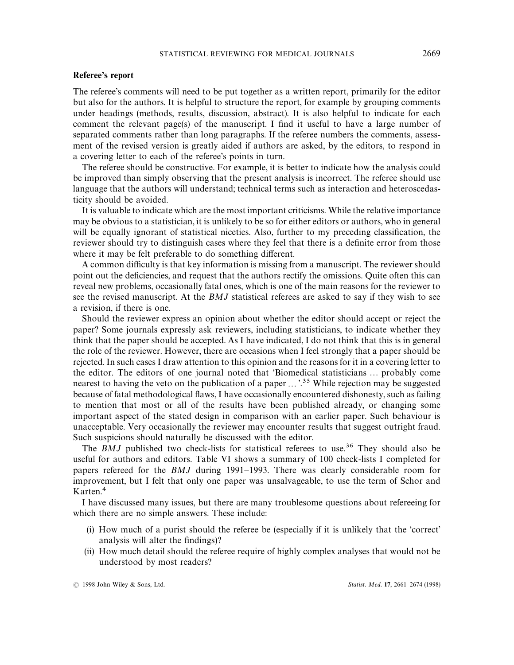## Referee's report

The referee's comments will need to be put together as a written report, primarily for the editor but also for the authors. It is helpful to structure the report, for example by grouping comments under headings (methods, results, discussion, abstract). It is also helpful to indicate for each comment the relevant page(s) of the manuscript. I find it useful to have a large number of separated comments rather than long paragraphs. If the referee numbers the comments, assessment of the revised version is greatly aided if authors are asked, by the editors, to respond in a covering letter to each of the referee's points in turn.

The referee should be constructive. For example, it is better to indicate how the analysis could be improved than simply observing that the present analysis is incorrect. The referee should use language that the authors will understand; technical terms such as interaction and heteroscedasticity should be avoided.

It is valuable to indicate which are the most important criticisms. While the relative importance may be obvious to a statistician, it is unlikely to be so for either editors or authors, who in general will be equally ignorant of statistical niceties. Also, further to my preceding classification, the reviewer should try to distinguish cases where they feel that there is a definite error from those where it may be felt preferable to do something different.

A common difficulty is that key information is missing from a manuscript. The reviewer should point out the deficiencies, and request that the authors rectify the omissions. Quite often this can reveal new problems, occasionally fatal ones, which is one of the main reasons for the reviewer to see the revised manuscript. At the *BMJ* statistical referees are asked to say if they wish to see a revision, if there is one.

Should the reviewer express an opinion about whether the editor should accept or reject the paper? Some journals expressly ask reviewers, including statisticians, to indicate whether they think that the paper should be accepted. As I have indicated, I do not think that this is in general the role of the reviewer. However, there are occasions when I feel strongly that a paper should be rejected. In such cases I draw attention to this opinion and the reasons for it in a covering letter to the editor. The editors of one journal noted that 'Biomedical statisticians  $\ldots$  probably come nearest to having the veto on the publication of a paper ...'.<sup>35</sup> While rejection may be suggested because of fatal methodological flaws, I have occasionally encountered dishonesty, such as failing to mention that most or all of the results have been published already, or changing some important aspect of the stated design in comparison with an earlier paper. Such behaviour is unacceptable. Very occasionally the reviewer may encounter results that suggest outright fraud. Such suspicions should naturally be discussed with the editor.

The *BMJ* published two check-lists for statistical referees to use.<sup>36</sup> They should also be useful for authors and editors. Table VI shows a summary of 100 check-lists I completed for papers refereed for the *BMJ* during 1991*—*1993. There was clearly considerable room for improvement, but I felt that only one paper was unsalvageable, to use the term of Schor and Karten.4

I have discussed many issues, but there are many troublesome questions about refereeing for which there are no simple answers. These include:

- (i) How much of a purist should the referee be (especially if it is unlikely that the 'correct' analysis will alter the findings)?
- (ii) How much detail should the referee require of highly complex analyses that would not be understood by most readers?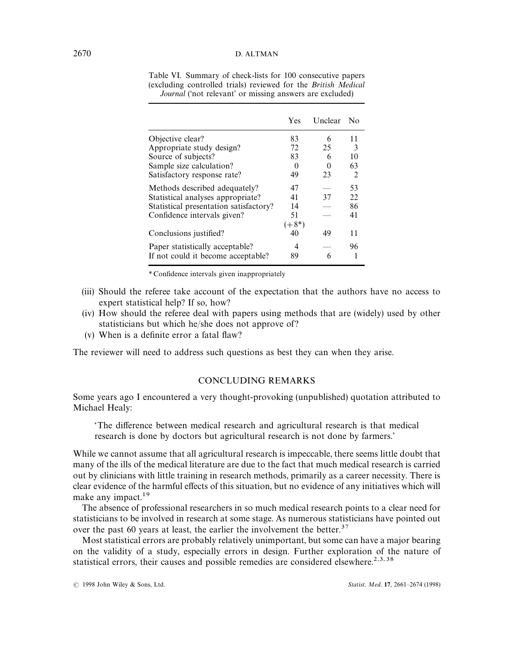|                                        | Yes      | Unclear No |               |
|----------------------------------------|----------|------------|---------------|
| Objective clear?                       | 83       | 6          | 11            |
| Appropriate study design?              | 72       | 25         | 3             |
| Source of subjects?                    | 83       | 6          | 10            |
| Sample size calculation?               | 0        |            | 63            |
| Satisfactory response rate?            | 49       | 23         | $\mathcal{L}$ |
| Methods described adequately?          | 47       |            | 53            |
| Statistical analyses appropriate?      | 41       | 37         | 22.           |
| Statistical presentation satisfactory? | 14       |            | 86            |
| Confidence intervals given?            | 51       |            | 41            |
|                                        | $(+8^*)$ |            |               |
| Conclusions justified?                 | 40       | 49         | 11            |
| Paper statistically acceptable?        | 4        |            | 96            |
| If not could it become acceptable?     | 89       |            |               |

Table VI. Summary of check-lists for 100 consecutive papers (excluding controlled trials) reviewed for the *British Medical Journal* ('not relevant' or missing answers are excluded)

*\** Confidence intervals given inappropriately

- (iii) Should the referee take account of the expectation that the authors have no access to expert statistical help? If so, how?
- (iv) How should the referee deal with papers using methods that are (widely) used by other statisticians but which he/she does not approve of ?
- (v) When is a definite error a fatal flaw?

The reviewer will need to address such questions as best they can when they arise.

## CONCLUDING REMARKS

Some years ago I encountered a very thought-provoking (unpublished) quotation attributed to Michael Healy:

'The difference between medical research and agricultural research is that medical research is done by doctors but agricultural research is not done by farmers.'

While we cannot assume that all agricultural research is impeccable, there seems little doubt that many of the ills of the medical literature are due to the fact that much medical research is carried out by clinicians with little training in research methods, primarily as a career necessity. There is clear evidence of the harmful effects of this situation, but no evidence of any initiatives which will make any impact.<sup>19</sup>

The absence of professional researchers in so much medical research points to a clear need for statisticians to be involved in research at some stage. As numerous statisticians have pointed out over the past 60 years at least, the earlier the involvement the better.<sup>37</sup>

Most statistical errors are probably relatively unimportant, but some can have a major bearing on the validity of a study, especially errors in design. Further exploration of the nature of statistical errors, their causes and possible remedies are considered elsewhere.<sup>2,3,38</sup>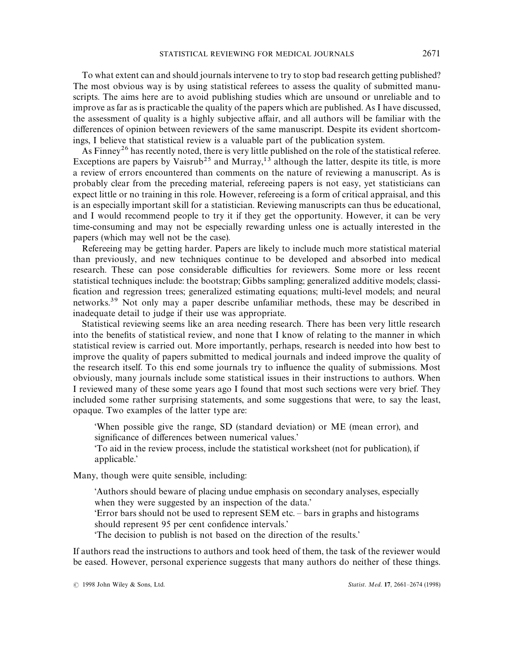To what extent can and should journals intervene to try to stop bad research getting published? The most obvious way is by using statistical referees to assess the quality of submitted manuscripts. The aims here are to avoid publishing studies which are unsound or unreliable and to improve as far as is practicable the quality of the papers which are published. As I have discussed, the assessment of quality is a highly subjective affair, and all authors will be familiar with the differences of opinion between reviewers of the same manuscript. Despite its evident shortcomings, I believe that statistical review is a valuable part of the publication system.

As Finney<sup>26</sup> has recently noted, there is very little published on the role of the statistical referee. Exceptions are papers by Vaisrub<sup>25</sup> and Murray,<sup>13</sup> although the latter, despite its title, is more a review of errors encountered than comments on the nature of reviewing a manuscript. As is probably clear from the preceding material, refereeing papers is not easy, yet statisticians can expect little or no training in this role. However, refereeing is a form of critical appraisal, and this is an especially important skill for a statistician. Reviewing manuscripts can thus be educational, and I would recommend people to try it if they get the opportunity. However, it can be very time-consuming and may not be especially rewarding unless one is actually interested in the papers (which may well not be the case).

Refereeing may be getting harder. Papers are likely to include much more statistical material than previously, and new techniques continue to be developed and absorbed into medical research. These can pose considerable difficulties for reviewers. Some more or less recent statistical techniques include: the bootstrap; Gibbs sampling; generalized additive models; classification and regression trees; generalized estimating equations; multi-level models; and neural networks.39 Not only may a paper describe unfamiliar methods, these may be described in inadequate detail to judge if their use was appropriate.

Statistical reviewing seems like an area needing research. There has been very little research into the benefits of statistical review, and none that I know of relating to the manner in which statistical review is carried out. More importantly, perhaps, research is needed into how best to improve the quality of papers submitted to medical journals and indeed improve the quality of the research itself. To this end some journals try to influence the quality of submissions. Most obviously, many journals include some statistical issues in their instructions to authors. When I reviewed many of these some years ago I found that most such sections were very brief. They included some rather surprising statements, and some suggestions that were, to say the least, opaque. Two examples of the latter type are:

'When possible give the range, SD (standard deviation) or ME (mean error), and significance of differences between numerical values.'

'To aid in the review process, include the statistical worksheet (not for publication), if applicable.'

Many, though were quite sensible, including:

'Authors should beware of placing undue emphasis on secondary analyses, especially when they were suggested by an inspection of the data.'

'Error bars should not be used to represent SEM etc. *—* bars in graphs and histograms should represent 95 per cent confidence intervals.'

'The decision to publish is not based on the direction of the results.'

If authors read the instructions to authors and took heed of them, the task of the reviewer would be eased. However, personal experience suggests that many authors do neither of these things.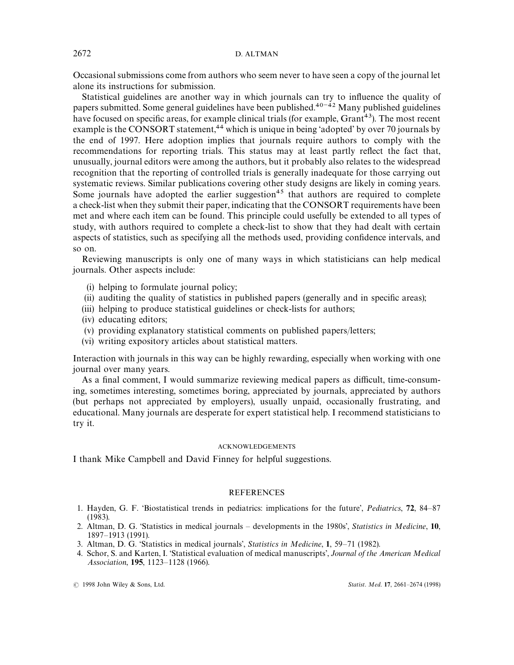Occasional submissions come from authors who seem never to have seen a copy of the journal let alone its instructions for submission.

Statistical guidelines are another way in which journals can try to influence the quality of papers submitted. Some general guidelines have been published.<sup>40-42</sup> Many published guidelines have focused on specific areas, for example clinical trials (for example, Grant<sup>43</sup>). The most recent example is the CONSORT statement,<sup>44</sup> which is unique in being 'adopted' by over 70 journals by the end of 1997. Here adoption implies that journals require authors to comply with the recommendations for reporting trials. This status may at least partly reflect the fact that, unusually, journal editors were among the authors, but it probably also relates to the widespread recognition that the reporting of controlled trials is generally inadequate for those carrying out systematic reviews. Similar publications covering other study designs are likely in coming years. Some journals have adopted the earlier suggestion<sup>45</sup> that authors are required to complete a check-list when they submit their paper, indicating that the CONSORT requirements have been met and where each item can be found. This principle could usefully be extended to all types of study, with authors required to complete a check-list to show that they had dealt with certain aspects of statistics, such as specifying all the methods used, providing confidence intervals, and so on.

Reviewing manuscripts is only one of many ways in which statisticians can help medical journals. Other aspects include:

- (i) helping to formulate journal policy;
- (ii) auditing the quality of statistics in published papers (generally and in specific areas);
- (iii) helping to produce statistical guidelines or check-lists for authors;
- (iv) educating editors;
- (v) providing explanatory statistical comments on published papers/letters;
- (vi) writing expository articles about statistical matters.

Interaction with journals in this way can be highly rewarding, especially when working with one journal over many years.

As a final comment, I would summarize reviewing medical papers as difficult, time-consuming, sometimes interesting, sometimes boring, appreciated by journals, appreciated by authors (but perhaps not appreciated by employers), usually unpaid, occasionally frustrating, and educational. Many journals are desperate for expert statistical help. I recommend statisticians to try it.

## ACKNOWLEDGEMENTS

I thank Mike Campbell and David Finney for helpful suggestions.

## **REFERENCES**

- 1. Hayden, G. F. 'Biostatistical trends in pediatrics: implications for the future', *Pediatrics*, 72, 84*—*87 (1983).
- 2. Altman, D. G. 'Statistics in medical journals *—* developments in the 1980s', *Statistics in Medicine*, 10, 1897*—*1913 (1991).
- 3. Altman, D. G. 'Statistics in medical journals', *Statistics in Medicine*, 1, 59*—*71 (1982).
- 4. Schor, S. and Karten, I. 'Statistical evaluation of medical manuscripts', *Journal of the American Medical Association*, 195, 1123*—*1128 (1966).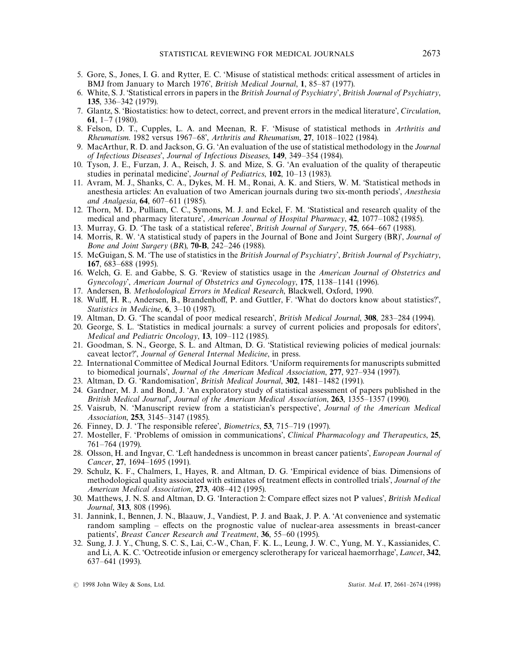- 5. Gore, S., Jones, I. G. and Rytter, E. C. 'Misuse of statistical methods: critical assessment of articles in BMJ from January to March 1976', *British Medical Journal*, 1, 85*—*87 (1977).
- 6. White, S. J. 'Statistical errors in papers in the *British Journal of Psychiatry*', *British Journal of Psychiatry*, 135, 336*—*342 (1979).
- 7. Glantz, S. 'Biostatistics: how to detect, correct, and prevent errors in the medical literature', *Circulation*, 61, 1*—*7 (1980).
- 8. Felson, D. T., Cupples, L. A. and Meenan, R. F. 'Misuse of statistical methods in *Arthritis and Rheumatism*. 1982 versus 1967*—*68', *Arthritis and Rheumatism*, 27, 1018*—*1022 (1984).
- 9. MacArthur, R. D. and Jackson, G. G. 'An evaluation of the use of statistical methodology in the *Journal of Infectious Diseases*', *Journal of Infectious Diseases*, 149, 349*—*354 (1984).
- 10. Tyson, J. E., Furzan, J. A., Reisch, J. S. and Mize, S. G. 'An evaluation of the quality of therapeutic studies in perinatal medicine', *Journal of Pediatrics*, 102, 10*—*13 (1983).
- 11. Avram, M. J., Shanks, C. A., Dykes, M. H. M., Ronai, A. K. and Stiers, W. M. 'Statistical methods in anesthesia articles: An evaluation of two American journals during two six-month periods', *Anesthesia and Analgesia*, 64, 607*—*611 (1985).
- 12. Thorn, M. D., Pulliam, C. C., Symons, M. J. and Eckel, F. M. 'Statistical and research quality of the medical and pharmacy literature', *American Journal of Hospital Pharmacy*, 42, 1077*—*1082 (1985).
- 13. Murray, G. D. 'The task of a statistical referee', *British Journal of Surgery*, 75, 664*—*667 (1988).
- 14. Morris, R. W. 'A statistical study of papers in the Journal of Bone and Joint Surgery (BR)', *Journal of Bone and Joint Surgery* (*BR*), 70-B, 242*—*246 (1988).
- 15. McGuigan, S. M. 'The use of statistics in the *British Journal of Psychiatry*', *British Journal of Psychiatry*, 167, 683*—*688 (1995).
- 16. Welch, G. E. and Gabbe, S. G. 'Review of statistics usage in the *American Journal of Obstetrics and Gynecology*', *American Journal of Obstetrics and Gynecology*, 175, 1138*—*1141 (1996).
- 17. Andersen, B. *Methodological Errors in Medical Research*, Blackwell, Oxford, 1990.
- 18. Wulff, H. R., Andersen, B., Brandenhoff, P. and Guttler, F. 'What do doctors know about statistics?', *Statistics in Medicine*, 6, 3*—*10 (1987).
- 19. Altman, D. G. 'The scandal of poor medical research', *British Medical Journal*, 308, 283*—*284 (1994).
- 20. George, S. L. 'Statistics in medical journals: a survey of current policies and proposals for editors', *Medical and Pediatric Oncology*, 13, 109*—*112 (1985).
- 21. Goodman, S. N., George, S. L. and Altman, D. G. 'Statistical reviewing policies of medical journals: caveat lector?', *Journal of General Internal Medicine*, in press.
- 22. International Committee of Medical Journal Editors. 'Uniform requirements for manuscripts submitted to biomedical journals', *Journal of the American Medical Association*, 277, 927*—*934 (1997).
- 23. Altman, D. G. 'Randomisation', *British Medical Journal*, 302, 1481*—*1482 (1991).
- 24. Gardner, M. J. and Bond, J. 'An exploratory study of statistical assessment of papers published in the *British Medical Journal*', *Journal of the American Medical Association*, 263, 1355*—*1357 (1990).
- 25. Vaisrub, N. 'Manuscript review from a statistician's perspective', *Journal of the American Medical Association*, 253, 3145*—*3147 (1985).
- 26. Finney, D. J. 'The responsible referee', *Biometrics*, 53, 715*—*719 (1997).
- 27. Mosteller, F. 'Problems of omission in communications', *Clinical Pharmacology and Therapeutics*, 25, 761*—*764 (1979).
- 28. Olsson, H. and Ingvar, C. 'Left handedness is uncommon in breast cancer patients', *European Journal of Cancer*, 27, 1694*—*1695 (1991).
- 29. Schulz, K. F., Chalmers, I., Hayes, R. and Altman, D. G. 'Empirical evidence of bias. Dimensions of methodological quality associated with estimates of treatment effects in controlled trials', *Journal of the American Medical Association*, 273, 408*—*412 (1995).
- 30. Matthews, J. N. S. and Altman, D. G. 'Interaction 2: Compare effect sizes not P values', *British Medical Journal*, 313, 808 (1996).
- 31. Jannink, I., Bennen, J. N., Blaauw, J., Vandiest, P. J. and Baak, J. P. A. 'At convenience and systematic random sampling *—* effects on the prognostic value of nuclear-area assessments in breast-cancer patients', *Breast Cancer Research and Treatment*, 36, 55–60 (1995).
- 32. Sung, J. J. Y., Chung, S. C. S., Lai, C.-W., Chan, F. K. L., Leung, J. W. C., Yung, M. Y., Kassianides, C. and Li, A. K. C. 'Octreotide infusion or emergency sclerotherapy for variceal haemorrhage', *Lancet*, 342, 637*—*641 (1993).

( 1998 John Wiley & Sons, Ltd. *Statist*. *Med*. 17, 2661*—*2674 (1998)